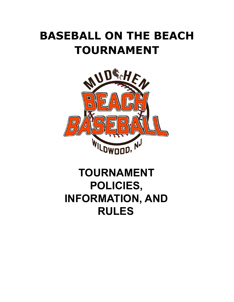# **BASEBALL ON THE BEACH TOURNAMENT**



# **TOURNAMENT POLICIES, INFORMATION, AND RULES**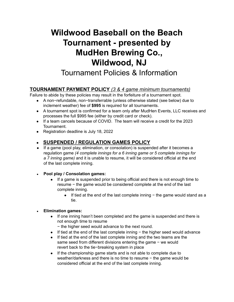# **Wildwood Baseball on the Beach Tournament - presented by MudHen Brewing Co., Wildwood, NJ**

Tournament Policies & Information

#### **TOURNAMENT PAYMENT POLICY** *(3 & 4 game minimum tournaments)*

Failure to abide by these policies may result in the forfeiture of a tournament spot.

- A non-refundable, non-transferrable (unless otherwise stated (see below) due to inclement weather) fee of **\$995** is required for all tournaments.
- A tournament spot is confirmed for a team only after MudHen Events, LLC receives and processes the full \$995 fee (either by credit card or check).
- If a team cancels because of COVID. The team will receive a credit for the 2023 Tournament.
- Registration deadline is July 18, 2022

#### ● **SUSPENDED / REGULATION GAMES POLICY**

- If a game (pool play, elimination, or consolation) is suspended after it becomes a regulation game *(4 complete innings for a 6 inning game or 5 complete innings for a 7 inning game)* and it is unable to resume, it will be considered official at the end of the last complete inning.
- **● Pool play / Consolation games:**
	- If a game is suspended prior to being official and there is not enough time to resume − the game would be considered complete at the end of the last complete inning.
		- If tied at the end of the last complete inning − the game would stand as a tie.
- **● Elimination games:**
	- If one inning hasn't been completed and the game is suspended and there is not enough time to resume

− the higher seed would advance to the next round.

- If tied at the end of the last complete inning − the higher seed would advance
- If tied at the end of the last complete inning and the two teams are the same seed from different divisions entering the game − we would revert back to the tie−breaking system in place
- If the championship game starts and is not able to complete due to weather/darkness and there is no time to resume − the game would be considered official at the end of the last complete inning.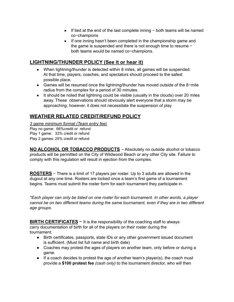- If tied at the end of the last complete inning − both teams will be named co−champions
- If one inning hasn't been completed in the championship game and the game is suspended and there is not enough time to resume − both teams would be named co−champions.

#### **LIGHTNING/THUNDER POLICY (See it or hear it)**

- When lightning/thunder is detected within 8 miles, all games will be suspended. At that time, players, coaches, and spectators should proceed to the safest possible place.
- Games will be resumed once the lightning/thunder has moved outside of the 8−mile radius from the complex for a period of 30 minutes.
- It should be noted that lightning could be visible (usually in the clouds) over 20 miles away. These observations should obviously alert everyone that a storm may be approaching; however, it does not necessitate the suspension of play

#### **WEATHER RELATED CREDIT/REFUND POLICY**

*3 game minimum format (Team entry fee)* Play no game: 66%credit or refund Play 1 game: 33% credit or refund Play 2 games: 25% credit or refund

**NO ALCOHOL OR TOBACCO PRODUCTS** − Absolutely no outside alcohol or tobacco products will be permitted on the City of Wildwood Beach or any other City site. Failure to comply with this regulation will result in ejection from the complex.

**ROSTERS** − There is a limit of 17 players per roster. Up to 3 adults are allowed in the dugout at any one time. Rosters are locked once a team's first game of a tournament begins. Teams must submit the roster form for each tournament they participate in.

*\*Each player can only be listed on one roster for each tournament. In other words, a player cannot be on two different teams during the same tournament, even if they are in two different age groups.*

**BIRTH CERTIFICATES** − It is the responsibility of the coaching staff to always carry documentation of birth for all of the players on their roster during the tournament.

- Birth certificates, passports, state IDs or any other government issued document is sufficient. (Must list full name and birth date)
- Coaches may protest the ages of players on another team, only before or during a game.
- **●** If a coach decides to protest the age of another team's player(s), the coach must provide a **\$100 protest fee** *(cash only)* to the tournament director, who will then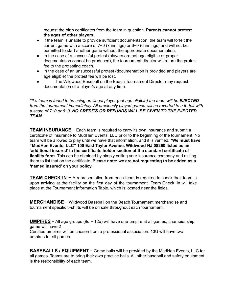request the birth certificates from the team in question. **Parents cannot protest the ages of other players.**

- If the team is unable to provide sufficient documentation, the team will forfeit the current game with a score of 7−0 (7 innings) or 6−0 (6 innings) and will not be permitted to start another game without the appropriate documentation.
- In the case of a successful protest (players are not age eligible or proper documentation cannot be produced), the tournament director will return the protest fee to the protesting coach.
- In the case of an unsuccessful protest (documentation is provided and players are age eligible) the protest fee will be lost.
- The Wildwood Baseball on the Beach Tournament Director may request documentation of a player's age at any time.

\*If a team is found to be using an illegal player (not age eligible) the team will be EJECTED *from the tournament immediately. All previously played games will be reverted to a forfeit with a score of 7−0 or 6−0. NO CREDITS OR REFUNDS WILL BE GIVEN TO THE EJECTED TEAM.*

**TEAM INSURANCE** − Each team is required to carry its own insurance and submit a certificate of insurance to MudHen Events, LLC prior to the beginning of the tournament. No team will be allowed to play until we have that information, and it is verified. **\*We must have "MudHen Events, LLC" 100 East Taylor Avenue, Wildwood NJ 08260 listed as an 'additional insured' in the certificate holder section of the standard certificate of liability form.** This can be obtained by simply calling your insurance company and asking them to list that on the certificate. **Please note: we are not requesting to be added as a 'named insured' on your policy.**

**TEAM CHECK-IN** − A representative from each team is required to check their team in upon arriving at the facility on the first day of the tournament. Team Check−In will take place at the Tournament Information Table, which is located near the fields.

**MERCHANDISE** − Wildwood Baseball on the Beach Tournament merchandise and tournament specific t−shirts will be on sale throughout each tournament.

**UMPIRES** − All age groups (9u − 12u) will have one umpire at all games, championship game will have 2 Certified umpires will be chosen from a professional association. 13U will have two umpires for all games.

**BASEBALLS / EQUIPMENT** − Game balls will be provided by the MudHen Events, LLC for all games. Teams are to bring their own practice balls. All other baseball and safety equipment is the responsibility of each team.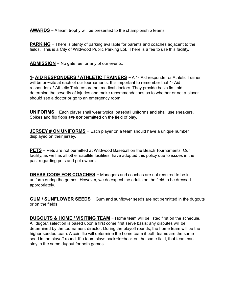**AWARDS** − A team trophy will be presented to the championship teams

**PARKING** − There is plenty of parking available for parents and coaches adjacent to the fields. This is a City of Wildwood Public Parking Lot. There is a fee to use this facility.

**ADMISSION** − No gate fee for any of our events.

**1<sup>ª</sup> AID RESPONDERS / ATHLETIC TRAINERS** − A 1<sup>ª</sup> Aid responder or Athletic Trainer will be on−site at each of our tournaments. It is important to remember that 1<sup>®</sup> Aid responders ƒ Athletic Trainers are not medical doctors. They provide basic first aid, determine the severity of injuries and make recommendations as to whether or not a player should see a doctor or go to an emergency room.

**UNIFORMS** − Each player shall wear typical baseball uniforms and shall use sneakers. Spikes and flip flops *are not* permitted on the field of play.

**JERSEY # ON UNIFORMS** − Each player on a team should have a unique number displayed on their jersey**.**

**PETS** − Pets are not permitted at Wildwood Baseball on the Beach Tournaments. Our facility, as well as all other satellite facilities, have adopted this policy due to issues in the past regarding pets and pet owners.

**DRESS CODE FOR COACHES** − Managers and coaches are not required to be in uniform during the games. However, we do expect the adults on the field to be dressed appropriately.

GUM / SUNFLOWER SEEDS − Gum and sunflower seeds are not permitted in the dugouts or on the fields.

DUGOUTS & HOME / VISITING TEAM − Home team will be listed first on the schedule. All dugout selection is based upon a first come first serve basis; any disputes will be determined by the tournament director. During the playoff rounds, the home team will be the higher seeded team. A coin flip will determine the home team if both teams are the same seed in the playoff round. If a team plays back−to−back on the same field, that team can stay in the same dugout for both games.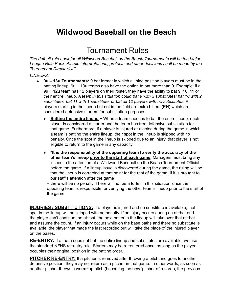## **Wildwood Baseball on the Beach**

## Tournament Rules

*The default rule book for all Wildwood Baseball on the Beach Tournaments will be the Major League Rule Book. All rule interpretations, protests and other decisions shall be made by the Tournament Director/UIC.*

#### *LINEUPS:*

- **9u – 13u Tournaments:** 9 bat format in which all nine position players must be in the batting lineup. 9u − 13u teams also have the option to bat more than 9. Example: if a 9u − 12u team has 12 players on their roster, they have the ability to bat 9, 10, 11 or their entire lineup. *A team in this situation could bat 9 with 3 substitutes; bat 10 with 2 substitutes; bat 11 with 1 substitute; or bat all 12 players with no substitutes.* All players starting in the lineup but not in the field are extra hitters (EH) which are considered defensive starters for substitution purposes.
	- **Batting the entire lineup** − When a team chooses to bat the entire lineup, each player is considered a starter and the team has free defensive substitution for that game. Furthermore, if a player is injured or ejected during the game in which a team is batting the entire lineup, their spot in the lineup is skipped with no penalty. Once the spot in the lineup is skipped due to an injury, that player is not eligible to return to the game in any capacity.
	- **\*It is the responsibility of the opposing team to verify the accuracy of the other team's lineup prior to the start of each game.** Managers must bring any issues to the attention of a Wildwood Baseball on the Beach Tournament Official before the game. If a lineup issue is discovered during the game, the ruling will be that the lineup is corrected at that point for the rest of the game. If it is brought to our staff's attention after the game

− there will be no penalty. There will not be a forfeit in this situation since the opposing team is responsible for verifying the other team's lineup prior to the start of the game.

**INJURIES / SUBSTITUTIONS:** If a player is injured and no substitute is available, that spot in the lineup will be skipped with no penalty. If an injury occurs during an at−bat and the player can't continue the at−bat, the next batter in the lineup will take over that at−bat and assume the count. If an injury occurs while on the base paths and there no substitute is available, the player that made the last recorded out will take the place of the injured player on the bases.

**RE-ENTRY:** If a team does not bat the entire lineup and substitutes are available, we use the standard NFHS re−entry rule. Starters may be re−entered once, as long as the player occupies their original position in the batting order.

**PITCHER RE-ENTRY:** If a pitcher is removed after throwing a pitch and goes to another defensive position, they may not return as a pitcher in that game. In other words, as soon as another pitcher throws a warm−up pitch (becoming the new 'pitcher of record'), the previous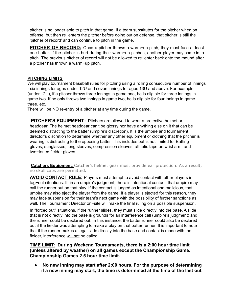pitcher is no longer able to pitch in that game. If a team substitutes for the pitcher when on offense, but then re−enters the pitcher before going out on defense, that pitcher is still the 'pitcher of record' and can continue to pitch in the game.

**PITCHER OF RECORD:** Once a pitcher throws a warm−up pitch, they must face at least one batter. If the pitcher is hurt during their warm−up pitches, another player may come in to pitch. The previous pitcher of record will not be allowed to re−enter back onto the mound after a pitcher has thrown a warm−up pitch.

#### **PITCHING LIMITS**

We will play tournament baseball rules for pitching using a rolling consecutive number of innings - six innings for ages under 12U and seven innings for ages 13U and above. For example (under 12U), if a pitcher throws three innings in game one, he is eligible for three innings in game two. If he only throws two innings in game two, he is eligible for four innings in game three, etc.

There will be NO re-entry of a pitcher at any time during the game.

**PITCHER'S EQUIPMENT :** Pitchers are allowed to wear a protective helmet or headgear. The helmet headgear can't be glossy nor have anything else on it that can be deemed distracting to the batter (umpire's discretion). It is the umpire and tournament director's discretion to determine whether any other equipment or clothing that the pitcher is wearing is distracting to the opposing batter. This includes but is not limited to: Batting gloves, sunglasses, long sleeves, compression sleeves, athletic tape on wrist arm, and two−toned fielder gloves.

**Catchers Equipment:** Catcher's helmet gear must provide ear protection. As a result, no skull caps are permitted.

**AVOID CONTACT RULE:** Players must attempt to avoid contact with other players in tag−out situations. If, in an umpire's judgment, there is intentional contact, that umpire may call the runner out on that play. If the contact is judged as intentional and malicious, that umpire may also eject the player from the game. If a player is ejected for this reason, they may face suspension for their team's next game with the possibility of further sanctions as well. The Tournament Director on−site will make the final ruling on a possible suspension.

In "forced out'' situations, if the runner slides, they must slide directly into the base. A slide that is not directly into the base is grounds for an interference call (umpire's judgment) and the runner could be declared out. In this instance, the batter runner could also be declared out if the fielder was attempting to make a play on that batter runner. It is important to note that if the runner makes a legal slide directly into the base and contact is made with the fielder, interference will not be called.

#### **TIME LIMIT: During Weekend Tournaments, there is a 2:00 hour time limit (unless altered by weather) on all games except the Championship Game. Championship Games 2.5 hour time limit.**

**● No new inning may start after 2:00 hours. For the purpose of determining if a new inning may start, the time is determined at the time of the last out**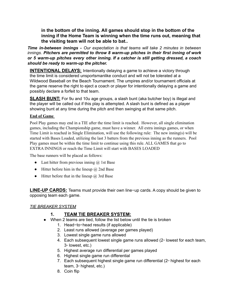**in the bottom of the inning. All games should stop in the bottom of the inning if the Home Team is winning when the time runs out, meaning that the visiting team will not be able to bat..**

*Time in-between innings - Our expectation is that teams will take 2 minutes in between innings. Pitchers are permitted to throw 8 warm-up pitches in their first inning of work or 5 warm-up pitches every other inning. If a catcher is still getting dressed, a coach should be ready to warm-up the pitcher.*

**INTENTIONAL DELAYS:** Intentionally delaying a game to achieve a victory through the time limit is considered unsportsmanlike conduct and will not be tolerated at a Wildwood Baseball on the Beach Tournament. The umpires and/or tournament officials at the game reserve the right to eject a coach or player for intentionally delaying a game and possibly declare a forfeit to that team.

**SLASH BUNT:** For 9u and 10u age groups, a slash bunt (aka butcher boy) is illegal and the player will be called out if this play is attempted. A slash bunt is defined as a player showing bunt at any time during the pitch and then swinging at that same pitch.

#### **End of Game**

Pool Play games may end in a TIE after the time limit is reached. However, all single elimination games, including the Championship game, must have a winner. All extra innings games, or when Time Limit is reached in Single Elimination, will use the following rule: The new inning(s) will be started with Bases Loaded, utilizing the last 3 batters from the previous inning as the runners. Pool Play games must be within the time limit to continue using this rule. ALL GAMES that go to EXTRA INNINGS or reach the Time Limit will start with BASES LOADED

The base runners will be placed as follows:

- Last hitter from previous inning  $\omega$  1st Base
- Hitter before him in the lineup  $\omega$  2nd Base
- Hitter before that in the lineup  $\omega$  3rd Base

**LINE-UP CARDS:** Teams must provide their own line−up cards. A copy should be given to opposing team each game.

#### *TIE BREAKER SYSTEM*

#### **1. TEAM TIE BREAKER SYSTEM:**

- When 2 teams are tied, follow the list below until the tie is broken
	- 1. Head−to−head results (if applicable)
	- 2. Least runs allowed (average per games played)
	- 3. Lowest single game runs allowed
	- 4. Each subsequent lowest single game runs allowed  $(2<sup>nd</sup>$  lowest for each team, 3<sup>rd</sup> lowest, etc.)
	- 5. Highest average run differential per games played
	- 6. Highest single game run differential
	- 7. Each subsequent highest single game run differential  $(2<sup>nd</sup>$  highest for each team,  $3<sup>d</sup>$  highest, etc.)
	- 8. Coin flip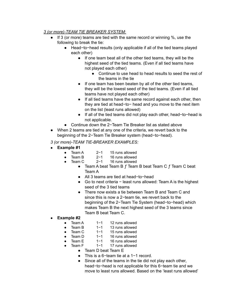#### *3 (or more)-TEAM TIE BREAKER SYSTEM:*

- If 3 (or more) teams are tied with the same record or winning %, use the following to break the tie:
	- Head-to-head results (only applicable if all of the tied teams played each other)
		- If one team beat all of the other tied teams, they will be the highest seed of the tied teams. (Even if all tied teams have not played each other)
			- Continue to use head to head results to seed the rest of the teams in the tie
		- If one team has been beaten by all of the other tied teams, they will be the lowest seed of the tied teams. (Even if all tied teams have not played each other)
		- If all tied teams have the same record against each other, then they are tied at head−to− head and you move to the next item on the list (least runs allowed)
		- If all of the tied teams did not play each other, head−to−head is not applicable.
	- Continue down the 2−Team Tie Breaker list as stated above
- When 2 teams are tied at any one of the criteria, we revert back to the beginning of the 2−Team Tie Breaker system (head−to−head).

#### *3 (or more)-TEAM TIE-BREAKER EXAMPLES:*

- **● Example #1**
	- Team A 2−1 15 runs allowed
	- Team B 2−1 16 runs allowed
		- Team C 2−1 16 runs allowed
			- **•** Team A beat Team B  $f$  Team B beat Team C  $f$  Team C beat Team A
			- All 3 teams are tied at head−to−head
			- Go to next criteria − least runs allowed: Team A is the highest seed of the 3 tied teams
			- There now exists a tie between Team B and Team C and since this is now a 2−team tie, we revert back to the beginning of the 2−Team Tie System (head−to−head) which makes Team B the next highest seed of the 3 teams since Team B beat Team C.
- **● Example #2**
	- Team A 1−1 12 runs allowed
	- Team B 1−1 13 runs allowed
	- Team C 1−1 15 runs allowed
	- Team D 1−1 16 runs allowed
	- Team E 1−1 16 runs allowed
		- Team F 1−1 17 runs allowed
			- Team D beat Team E
			- This is a 6−team tie at a 1−1 record.
			- Since all of the teams in the tie did not play each other, head−to−head is not applicable for this 6−team tie and we move to least runs allowed. Based on the 'least runs allowed'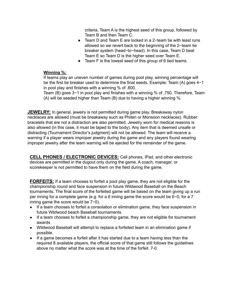criteria, Team A is the highest seed of this group, followed by Team B and then Team C.

- Team D and Team E are locked in a 2−team tie with least runs allowed so we revert back to the beginning of the 2−team tie breaker system (head−to−head). In this case, Team D beat Team E so Team D is the higher seed over Team E.
- Team F is the lowest seed of this group of 6 tied teams.

#### **Winning %:**

If teams play an uneven number of games during pool play, winning percentage will be the first tie breaker used to determine the final seeds. Example: Team (A) goes 4−1 in pool play and finishes with a winning % of .800.

Team (B) goes 3−1 in pool play and finishes with a winning % of .750. Therefore, Team (A) will be seeded higher than Team (B) due to having a higher winning %.

**JEWELRY:** In general, jewelry is not permitted during game play. Breakaway nylon necklaces are allowed (must be breakaway such as Phiten or Monsoon necklaces). Rubber bracelets that are not a distraction are also permitted. Jewelry worn for medical reasons is also allowed (in this case, it must be taped to the body). Any item that is deemed unsafe or distracting (Tournament Director's judgment) will not be allowed. The team will receive a warning if a player wears improper jewelry during the game and any players found wearing improper jewelry after the team warning will be ejected for the remainder of the game.

**CELL PHONES / ELECTRONIC DEVICES:** Cell phones, iPad, and other electronic devices are permitted in the dugout only during the game. A coach, manager, or scorekeeper is not permitted to have them on the field during the game.

**FORFEITS:** If a team chooses to forfeit a pool play game, they are not eligible for the championship round and face suspension in future Wildwood Baseball on the Beach tournaments. The final score of the forfeited game will be based on the team giving up a run per inning for a complete game (e.g. for a 6 inning game the score would be 6−0; for a 7 inning game the score would be 7−0).

- If a team chooses to forfeit a consolation or elimination game, they face suspension in future Wildwood beach Baseball tournaments.
- If a team chooses to forfeit a championship game, they are not eligible for tournament awards
- Wildwood Baseball will attempt to replace a forfeited team in an elimination game if possible.
- If a game becomes a forfeit after it has started due to a team having less than the required 8 available players, the official score of that game still follows the guidelines above no matter what the score was at the time of the forfeit. 7-0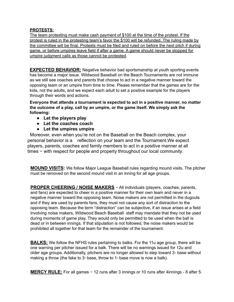#### **PROTESTS:**

The team protesting must make cash payment of \$100 at the time of the protest. If the protest is ruled in the protesting team's favor the \$100 will be refunded. The ruling made by the committee will be final. Protests must be filed and ruled on before the next pitch if during game, or before umpires leave field if after a game. A game should never be stopped for umpire judgment calls as those cannot be protested.

**EXPECTED BEHAVIOR:** Negative behavior bad sportsmanship at youth sporting events has become a major issue. Wildwood Baseball on the Beach Tournaments are not immune as we still see coaches and parents that choose to act in a negative manner toward the opposing team or an umpire from time to time. Please remember that the games are for the kids, not the adults, and we expect each adult to set a positive example for the players through their words and actions.

**Everyone that attends a tournament is expected to act in a positive manner, no matter the outcome of a play, call by an umpire, or the game itself. We simply ask the following:**

- **● Let the players play**
- **● Let the coaches coach**
- **● Let the umpires umpire**

Moreover, even when you're not on the Baseball on the Beach complex, your personal behavior is a reflection on your team and the Tournament.We expect players, parents, coaches and family members to act in a positive manner at all times − with respect for people and property throughout our local community.

**MOUND VISITS:** We follow Major League Baseball rules regarding mound visits. The pitcher must be removed on the second mound visit in an inning for all age groups.

**PROPER CHEERING / NOISE MAKERS** − All individuals (players, coaches, parents, and fans) are expected to cheer in a positive manner for their own team and never in a negative manner toward the opposing team. Noise makers are not permitted in the dugouts and if they are used by parents fans, they must not cause any sort of distraction to the opposing team. Because the term "distraction" can be subjective, if an issue arises at a field involving noise makers, Wildwood Beach Baseball staff may mandate that they not be used during moments of game play. They would only be permitted to be used when the ball is dead or in between innings. If that stipulation is not followed, the noise makers would be prohibited all together for that team for the remainder of the tournament.

**BALKS:** We follow the NFHS rules pertaining to balks. For the 11u age group, there will be one warning per pitcher issued for a balk. There will be no warnings issued for 12u and older age groups. Additionally, pitchers are no longer allowed to step toward  $3<sup>a</sup>$  base without making a throw (the fake to  $3<sup>a</sup>$  base, throw to 1 $<sup>a</sup>$  base move is now a balk).</sup>

**MERCY RULE:** For all games − 12 runs after 3 innings or 10 runs after 4innings - 8 after 5.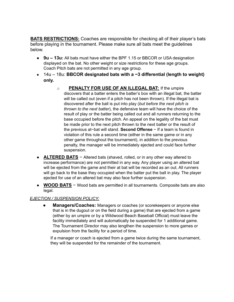**BATS RESTRICTIONS:** Coaches are responsible for checking all of their player's bats before playing in the tournament. Please make sure all bats meet the guidelines below.

- **9u 13u:** All bats must have either the BPF 1.15 or BBCOR or USA designation displayed on the bat. No other weight or size restrictions for these age groups. Coach Pitch bats are not permitted in any age group.
- 14u 18u: **BBCOR designated bats with a −3 differential (length to weight) only.**
	- o **PENALTY FOR USE OF AN ILLEGAL BAT:** If the umpire discovers that a batter enters the batter's box with an illegal bat, the batter will be called out (even if a pitch has not been thrown). If the illegal bat is discovered after the ball is put into play (*but before the next pitch is thrown to the next batter*), the defensive team will have the choice of the result of play or the batter being called out and all runners returning to the base occupied before the pitch. An appeal on the legality of the bat must be made prior to the next pitch thrown to the next batter or the result of the previous at−bat will stand. **Second Offense** − If a team is found in violation of this rule a second time (either in the same game or in any other game throughout the tournament), in addition to the previous penalty, the manager will be immediately ejected and could face further suspension.
- **ALTERED BATS** Altered bats (shaved, rolled, or in any other way altered to increase performance) are not permitted in any way. Any player using an altered bat will be ejected from the game and their at bat will be recorded as an out. All runners will go back to the base they occupied when the batter put the ball in play. The player ejected for use of an altered bat may also face further suspension.
- **WOOD BATS** − Wood bats are permitted in all tournaments. Composite bats are also legal.

#### *EJECTION / SUSPENSION POLICY:*

**Managers/Coaches:** Managers or coaches (or scorekeepers or anyone else that is in the dugout or on the field during a game) that are ejected from a game (either by an umpire or by a Wildwood Beach Baseball Official) must leave the facility immediately and will automatically be suspended for 1 additional game. The Tournament Director may also lengthen the suspension to more games or expulsion from the facility for a period of time.

If a manager or coach is ejected from a game twice during the same tournament, they will be suspended for the remainder of the tournament.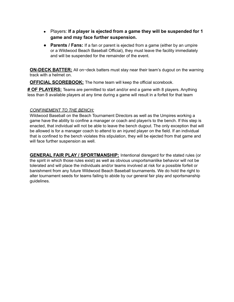- Players: **If a player is ejected from a game they will be suspended for 1 game and may face further suspension.**
- **Parents / Fans:** If a fan or parent is ejected from a game (either by an umpire or a Wildwood Beach Baseball Official), they must leave the facility immediately and will be suspended for the remainder of the event.

**ON-DECK BATTER:** All on−deck batters must stay near their team's dugout on the warning track with a helmet on.

**OFFICIAL SCOREBOOK:** The home team will keep the official scorebook.

**# OF PLAYERS:** Teams are permitted to start and/or end a game with 8 players. Anything less than 8 available players at any time during a game will result in a forfeit for that team

#### *CONFINEMENT TO THE BENCH:*

Wildwood Baseball on the Beach Tournament Directors as well as the Umpires working a game have the ability to confine a manager or coach and player/s to the bench. If this step is enacted, that individual will not be able to leave the bench dugout. The only exception that will be allowed is for a manager coach to attend to an injured player on the field. If an individual that is confined to the bench violates this stipulation, they will be ejected from that game and will face further suspension as well.

**GENERAL FAIR PLAY / SPORTMANSHIP:** Intentional disregard for the stated rules (or the spirit in which those rules exist) as well as obvious unsportsmanlike behavior will not be tolerated and will place the individuals and/or teams involved at risk for a possible forfeit or banishment from any future Wildwood Beach Baseball tournaments. We do hold the right to alter tournament seeds for teams failing to abide by our general fair play and sportsmanship guidelines.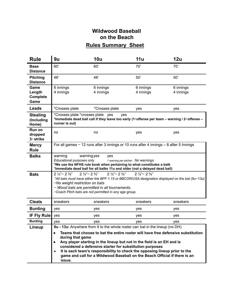### **Wildwood Baseball on the Beach Rules Summary Sheet**

| 60'                                                                                                                                                                                                                                                                                                                                                                                    | 60'                    | 70'                    | 70'                                                                                                                                                                                                                                                                                                                                                                                                                                                                                                                                                         |
|----------------------------------------------------------------------------------------------------------------------------------------------------------------------------------------------------------------------------------------------------------------------------------------------------------------------------------------------------------------------------------------|------------------------|------------------------|-------------------------------------------------------------------------------------------------------------------------------------------------------------------------------------------------------------------------------------------------------------------------------------------------------------------------------------------------------------------------------------------------------------------------------------------------------------------------------------------------------------------------------------------------------------|
| 46'                                                                                                                                                                                                                                                                                                                                                                                    | 46'                    | 50'                    | 50'                                                                                                                                                                                                                                                                                                                                                                                                                                                                                                                                                         |
| 6 innings<br>4 innings                                                                                                                                                                                                                                                                                                                                                                 | 6 innings<br>4 innings | 6 innings<br>4 innings | 6 innings<br>4 innings                                                                                                                                                                                                                                                                                                                                                                                                                                                                                                                                      |
| *Crosses plate                                                                                                                                                                                                                                                                                                                                                                         | *Crosses plate         | yes                    | yes                                                                                                                                                                                                                                                                                                                                                                                                                                                                                                                                                         |
| *Crosses plate *crosses plate yes<br>yes<br>*Immediate dead ball call if they leave too early (1"offense per team - warning / 2"offense -<br>runner is out)                                                                                                                                                                                                                            |                        |                        |                                                                                                                                                                                                                                                                                                                                                                                                                                                                                                                                                             |
| no                                                                                                                                                                                                                                                                                                                                                                                     | no                     | yes                    | yes                                                                                                                                                                                                                                                                                                                                                                                                                                                                                                                                                         |
|                                                                                                                                                                                                                                                                                                                                                                                        |                        |                        |                                                                                                                                                                                                                                                                                                                                                                                                                                                                                                                                                             |
| warning<br>warning yes<br>yes<br>Educational purposes only<br>1 warning per pitcher No warnings<br>*We use the NFHS rule book when pertaining to what constitutes a balk<br>*Immediate dead ball for all balks 11u and older (not a delayed dead ball)                                                                                                                                 |                        |                        |                                                                                                                                                                                                                                                                                                                                                                                                                                                                                                                                                             |
| $2\frac{1}{4}$ – $2\frac{3}{4}$<br>$2\frac{1}{4}$ – $2\frac{3}{4}$<br>$2\frac{1}{4}$ – $2\frac{3}{4}$<br>$2\frac{1}{4}$ – $2\frac{3}{4}$<br>*All bats must have either the BPF 1.15 or BBCOR/USA designation displayed on the bat (9u-13u)<br>-No weight restriction on bats<br>- Wood bats are permitted in all tournaments.<br>-Coach Pitch bats are not permitted in any age group. |                        |                        |                                                                                                                                                                                                                                                                                                                                                                                                                                                                                                                                                             |
| sneakers                                                                                                                                                                                                                                                                                                                                                                               | sneakers               | sneakers               | sneakers                                                                                                                                                                                                                                                                                                                                                                                                                                                                                                                                                    |
| yes                                                                                                                                                                                                                                                                                                                                                                                    | yes                    | yes                    | yes                                                                                                                                                                                                                                                                                                                                                                                                                                                                                                                                                         |
| yes                                                                                                                                                                                                                                                                                                                                                                                    | yes                    | yes                    | yes                                                                                                                                                                                                                                                                                                                                                                                                                                                                                                                                                         |
| yes                                                                                                                                                                                                                                                                                                                                                                                    | yes                    | yes                    | yes                                                                                                                                                                                                                                                                                                                                                                                                                                                                                                                                                         |
|                                                                                                                                                                                                                                                                                                                                                                                        |                        |                        |                                                                                                                                                                                                                                                                                                                                                                                                                                                                                                                                                             |
|                                                                                                                                                                                                                                                                                                                                                                                        | <b>IF Fly Rule</b>     | during that game       | For all games - 12 runs after 3 innings or 10 runs after 4 innings - 8 after 5 Innings<br>9u - 13u: Anywhere from 9 to the whole roster can bat in the lineup (no DH)<br>Teams that choose to bat the entire roster will have free defensive substitution<br>Any player starting in the lineup but not in the field is an EH and is<br>considered a defensive starter for substitution purposes<br>It is each team's responsibility to check the opposing lineup prior to the<br>game and call for a Wildwood Baseball on the Beach Official if there is an |